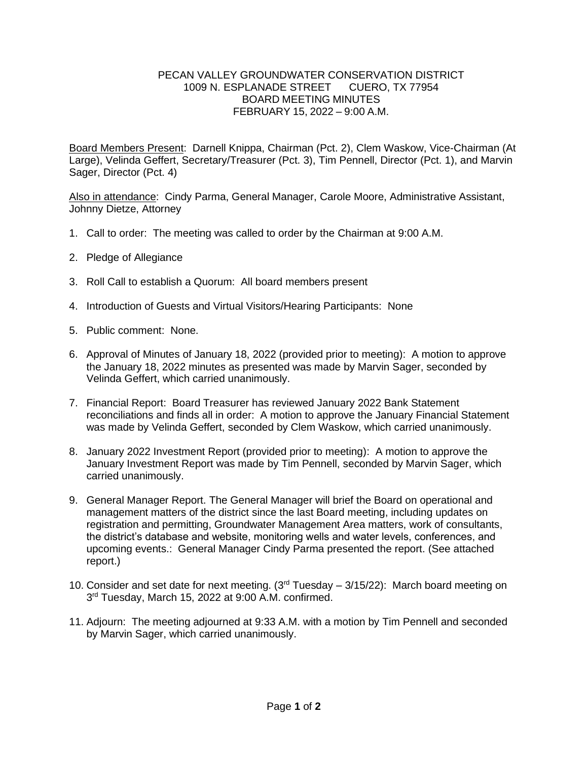## PECAN VALLEY GROUNDWATER CONSERVATION DISTRICT 1009 N. ESPLANADE STREET CUERO, TX 77954 BOARD MEETING MINUTES FEBRUARY 15, 2022 – 9:00 A.M.

Board Members Present: Darnell Knippa, Chairman (Pct. 2), Clem Waskow, Vice-Chairman (At Large), Velinda Geffert, Secretary/Treasurer (Pct. 3), Tim Pennell, Director (Pct. 1), and Marvin Sager, Director (Pct. 4)

Also in attendance: Cindy Parma, General Manager, Carole Moore, Administrative Assistant, Johnny Dietze, Attorney

- 1. Call to order: The meeting was called to order by the Chairman at 9:00 A.M.
- 2. Pledge of Allegiance
- 3. Roll Call to establish a Quorum: All board members present
- 4. Introduction of Guests and Virtual Visitors/Hearing Participants: None
- 5. Public comment: None.
- 6. Approval of Minutes of January 18, 2022 (provided prior to meeting): A motion to approve the January 18, 2022 minutes as presented was made by Marvin Sager, seconded by Velinda Geffert, which carried unanimously.
- 7. Financial Report: Board Treasurer has reviewed January 2022 Bank Statement reconciliations and finds all in order: A motion to approve the January Financial Statement was made by Velinda Geffert, seconded by Clem Waskow, which carried unanimously.
- 8. January 2022 Investment Report (provided prior to meeting): A motion to approve the January Investment Report was made by Tim Pennell, seconded by Marvin Sager, which carried unanimously.
- 9. General Manager Report. The General Manager will brief the Board on operational and management matters of the district since the last Board meeting, including updates on registration and permitting, Groundwater Management Area matters, work of consultants, the district's database and website, monitoring wells and water levels, conferences, and upcoming events.: General Manager Cindy Parma presented the report. (See attached report.)
- 10. Consider and set date for next meeting.  $(3<sup>rd</sup> Tuesday 3/15/22)$ : March board meeting on 3 rd Tuesday, March 15, 2022 at 9:00 A.M. confirmed.
- 11. Adjourn: The meeting adjourned at 9:33 A.M. with a motion by Tim Pennell and seconded by Marvin Sager, which carried unanimously.